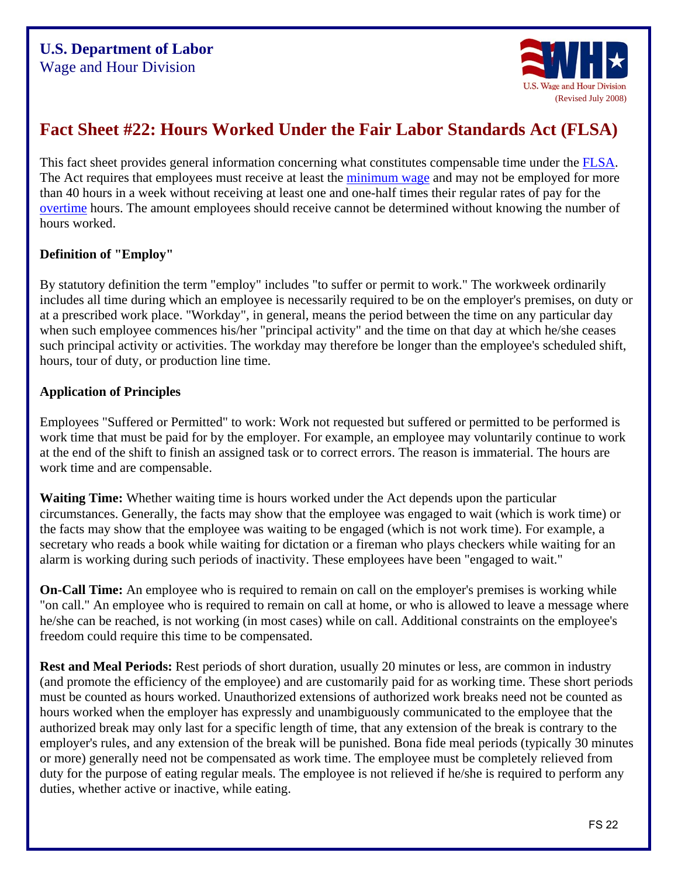

# **Fact Sheet #22: Hours Worked Under the Fair Labor Standards Act (FLSA)**

This fact sheet provides general information concerning what constitutes compensable time under the [FLSA](http://www.dol.gov/whd/flsa/). The Act requires that employees must receive at least the [minimum wage](http://www.dol.gov/WHD/minimumwage.htm) and may not be employed for more than 40 hours in a week without receiving at least one and one-half times their regular rates of pay for the [overtime](http://www.dol.gov/whd/overtime_pay.htm) hours. The amount employees should receive cannot be determined without knowing the number of hours worked.

## **Definition of "Employ"**

By statutory definition the term "employ" includes "to suffer or permit to work." The workweek ordinarily includes all time during which an employee is necessarily required to be on the employer's premises, on duty or at a prescribed work place. "Workday", in general, means the period between the time on any particular day when such employee commences his/her "principal activity" and the time on that day at which he/she ceases such principal activity or activities. The workday may therefore be longer than the employee's scheduled shift, hours, tour of duty, or production line time.

### **Application of Principles**

Employees "Suffered or Permitted" to work: Work not requested but suffered or permitted to be performed is work time that must be paid for by the employer. For example, an employee may voluntarily continue to work at the end of the shift to finish an assigned task or to correct errors. The reason is immaterial. The hours are work time and are compensable.

**Waiting Time:** Whether waiting time is hours worked under the Act depends upon the particular circumstances. Generally, the facts may show that the employee was engaged to wait (which is work time) or the facts may show that the employee was waiting to be engaged (which is not work time). For example, a secretary who reads a book while waiting for dictation or a fireman who plays checkers while waiting for an alarm is working during such periods of inactivity. These employees have been "engaged to wait."

**On-Call Time:** An employee who is required to remain on call on the employer's premises is working while "on call." An employee who is required to remain on call at home, or who is allowed to leave a message where he/she can be reached, is not working (in most cases) while on call. Additional constraints on the employee's freedom could require this time to be compensated.

**Rest and Meal Periods:** Rest periods of short duration, usually 20 minutes or less, are common in industry (and promote the efficiency of the employee) and are customarily paid for as working time. These short periods must be counted as hours worked. Unauthorized extensions of authorized work breaks need not be counted as hours worked when the employer has expressly and unambiguously communicated to the employee that the authorized break may only last for a specific length of time, that any extension of the break is contrary to the employer's rules, and any extension of the break will be punished. Bona fide meal periods (typically 30 minutes or more) generally need not be compensated as work time. The employee must be completely relieved from duty for the purpose of eating regular meals. The employee is not relieved if he/she is required to perform any duties, whether active or inactive, while eating.